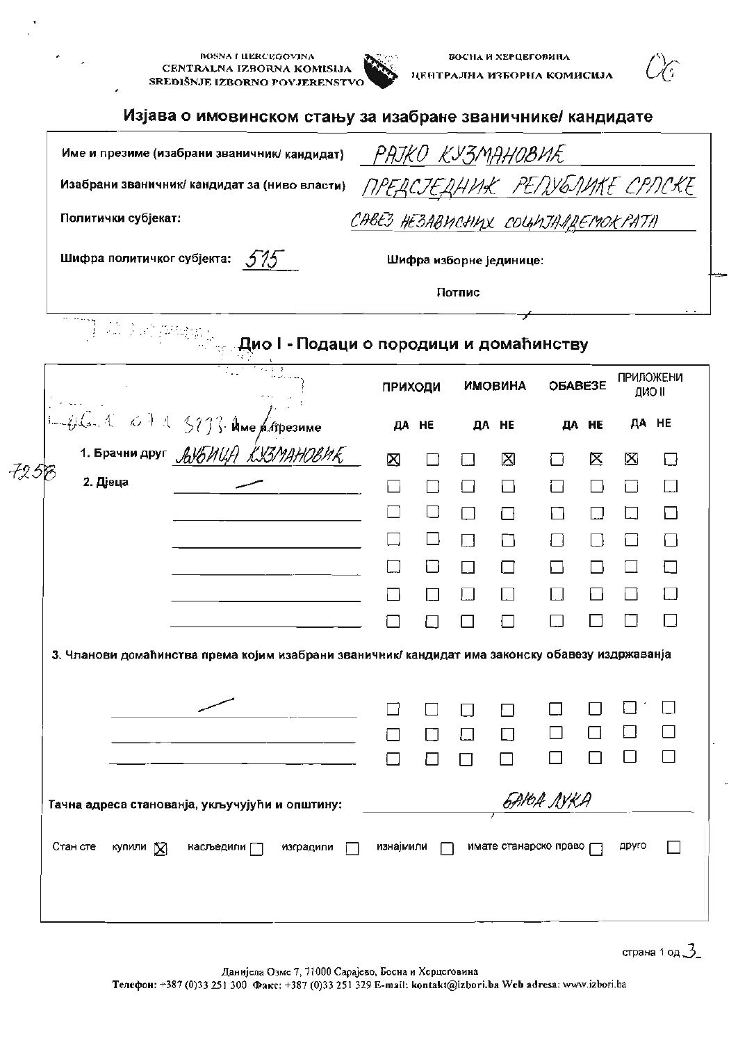|                            | Име и презиме (изабрани званичник/ кандидат)                                                     |                                     |                |        | РАЈКО КУЗМАНОВИЋ        |                   |       |                  |              |
|----------------------------|--------------------------------------------------------------------------------------------------|-------------------------------------|----------------|--------|-------------------------|-------------------|-------|------------------|--------------|
|                            | Изабрани званичник/ кандидат за (ниво власти)                                                    | <u>ПРЕДСЈЕДНИК РЕПУБЛИКЕ СРЛСКЕ</u> |                |        |                         |                   |       |                  |              |
| Политички субјекат:        |                                                                                                  | CABE3 HE3ABUCHUX COUMJANREMOKPATII  |                |        |                         |                   |       |                  |              |
| Шифра политичког субјекта: | 575                                                                                              |                                     |                |        | Шифра изборне јединице: |                   |       |                  |              |
|                            |                                                                                                  | Потпис                              |                |        |                         |                   |       |                  |              |
|                            | . Дио I - Подаци о породици и домаћинству                                                        |                                     |                |        |                         |                   |       |                  |              |
|                            |                                                                                                  |                                     | <b>ПРИХОДИ</b> |        | <b>ИМОВИНА</b>          | OБABE3E           |       | <b>ПРИЛОЖЕНИ</b> | II OND       |
|                            | $416.4 < 0.1 < 513$ . Ume Altheorime                                                             |                                     | ДА НЕ          |        | ДА НЕ                   |                   | ДА НЕ |                  | <b>ДА НЕ</b> |
| 1. Брачни друг ДУБИЦА      | LX3MAH0BM F                                                                                      | Ø                                   |                | i I    | 冈                       |                   | ⋉     | ΙX,              | i ł          |
| 725F<br>2. Дјеца           |                                                                                                  |                                     |                | L      |                         |                   |       |                  |              |
|                            |                                                                                                  |                                     |                |        |                         |                   |       |                  |              |
|                            |                                                                                                  |                                     |                | $\Box$ | П                       |                   |       |                  |              |
|                            |                                                                                                  |                                     |                | ΙI     |                         |                   |       |                  |              |
|                            |                                                                                                  |                                     |                |        |                         |                   |       |                  |              |
|                            |                                                                                                  |                                     |                |        |                         |                   |       |                  |              |
|                            | 3. Чланови домаћинства према којим изабрани званичник/ кандидат има законску обавезу издржаванја |                                     |                |        |                         |                   |       |                  |              |
|                            |                                                                                                  |                                     |                |        |                         |                   |       |                  |              |
|                            |                                                                                                  |                                     | ΙI             | $\Box$ |                         |                   |       |                  |              |
|                            |                                                                                                  |                                     |                |        |                         |                   |       |                  |              |
|                            | Тачна адреса станованја, укључујући и општину:                                                   |                                     |                |        |                         | <i>GAYOA NYKA</i> |       |                  |              |

 $\bullet$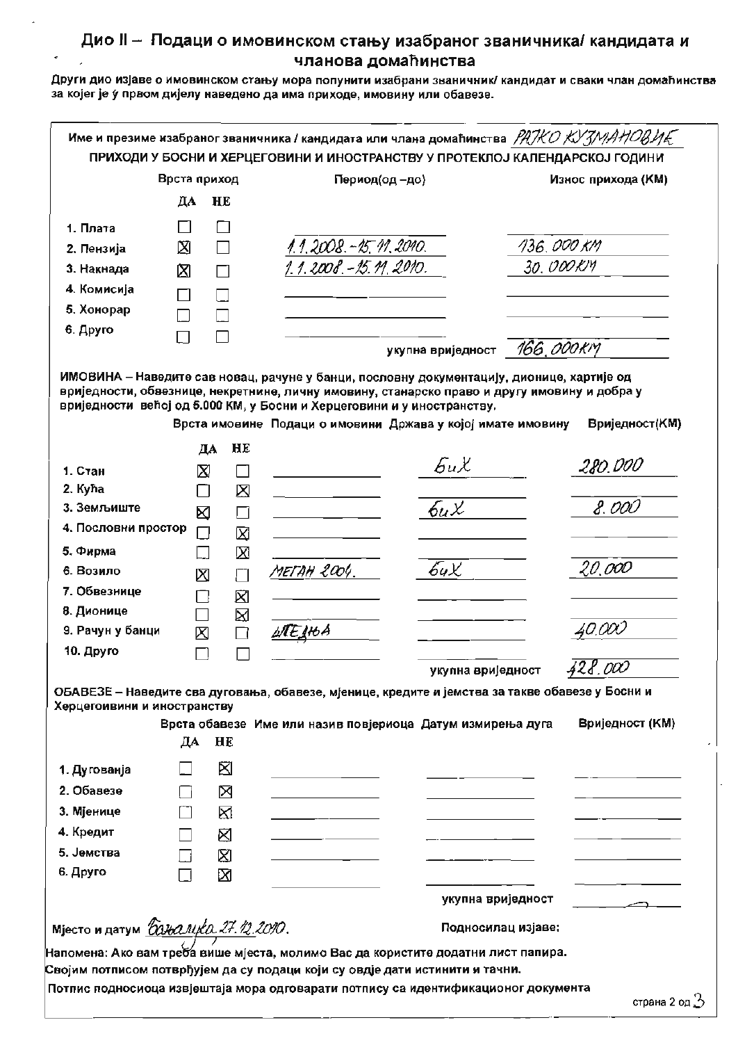## Дио II - Подаци о имовинском стању изабраног званичника/ кандидата и чланова домаћинства

Други дио изјаве о имовинском стању мора попунити изабрани званичник/ кандидат и сваки члан домаћинства за којег је у првом дијелу наведено да има приходе, имовину или обавезе.

| Врста приход                                           |                  | Период(од-до) |                         | Износ прихода (КМ)                                                                                                                                         |            |                           |
|--------------------------------------------------------|------------------|---------------|-------------------------|------------------------------------------------------------------------------------------------------------------------------------------------------------|------------|---------------------------|
|                                                        | ДА               | HE            |                         |                                                                                                                                                            |            |                           |
| 1. Плата                                               | $\Box$           |               |                         |                                                                                                                                                            |            |                           |
| 2. Пензија                                             | ⊠                |               |                         |                                                                                                                                                            | 136.000 KM |                           |
| 3. Накнада                                             | 囟                |               | 1.1.2008. - 15.11.2010. |                                                                                                                                                            | 30. OOOKM  |                           |
| 4. Комисија                                            |                  |               |                         |                                                                                                                                                            |            |                           |
| 5. Хонорар                                             |                  |               |                         |                                                                                                                                                            |            |                           |
| 6. Друго                                               | $\Box$           | П             |                         |                                                                                                                                                            |            |                           |
|                                                        |                  |               |                         | укупна вриједност                                                                                                                                          | 166.000KM  |                           |
|                                                        | ДА               | HE            |                         | вриједности већој од 5.000 КМ, у Босни и Херцеговини и у иностранству.<br>Врста имовине Подаци о имовини Држава у којој имате имовину<br>$\partial_t \chi$ |            | Вриједност(КМ)<br>280.000 |
| 1. Стан                                                | X                | ΙI            |                         |                                                                                                                                                            |            |                           |
| 2. Kyha<br>3. Земљиште                                 | П                | ⊠             |                         | 6uX                                                                                                                                                        |            | 8.000                     |
| 4. Пословни простор                                    | ⊠                | П             |                         |                                                                                                                                                            |            |                           |
| 5. Фирма                                               | $\Box$<br>$\Box$ | 囟<br>X        |                         |                                                                                                                                                            |            |                           |
| 6. Возило                                              | ⊠                | П             | METAH 2004.             | 6uX.                                                                                                                                                       |            | 20,000                    |
| 7. Обвезнице                                           | П                | 図             |                         |                                                                                                                                                            |            |                           |
| 8. Дионице                                             |                  | ⊠             |                         |                                                                                                                                                            |            |                           |
| 9. Рачун у банци                                       | ⊠                | $\Box$        | ШЕНЬА                   |                                                                                                                                                            |            | 40.000                    |
| 10. Друго                                              |                  |               |                         |                                                                                                                                                            |            |                           |
|                                                        |                  |               |                         | укупна вриједност                                                                                                                                          |            | 428.000                   |
| Херцегоивини и иностранству                            |                  |               |                         | ОБАВЕЗЕ – Наведите сва дуговања, обавезе, мјенице, кредите и јемства за такве обавезе у Босни и                                                            |            |                           |
|                                                        |                  |               |                         | Врста обавезе Име или назив повјериоца Датум измирења дуга                                                                                                 |            | Вриједност (КМ)           |
|                                                        | ДА               | HE            |                         |                                                                                                                                                            |            |                           |
| 1. Дугованја                                           |                  | ⊠             |                         |                                                                                                                                                            |            |                           |
| 2. Обавезе                                             |                  | ⊠             |                         |                                                                                                                                                            |            |                           |
| 3. Мјенице                                             | П                | ⊠             |                         |                                                                                                                                                            |            |                           |
| 4. Кредит                                              |                  | ⊠             |                         |                                                                                                                                                            |            |                           |
| 5. Јемства                                             | $\Box$           | ⊠             |                         |                                                                                                                                                            |            |                           |
|                                                        | П                | ⊠             |                         |                                                                                                                                                            |            |                           |
|                                                        |                  |               |                         | укупна вриједност                                                                                                                                          |            |                           |
|                                                        |                  |               |                         |                                                                                                                                                            |            |                           |
| 6. Друго<br>Мјесто и датум <u>божалце 27.12.2010</u> . |                  |               |                         | Подносилац изјаве:                                                                                                                                         |            |                           |

страна z од <u>г</u>